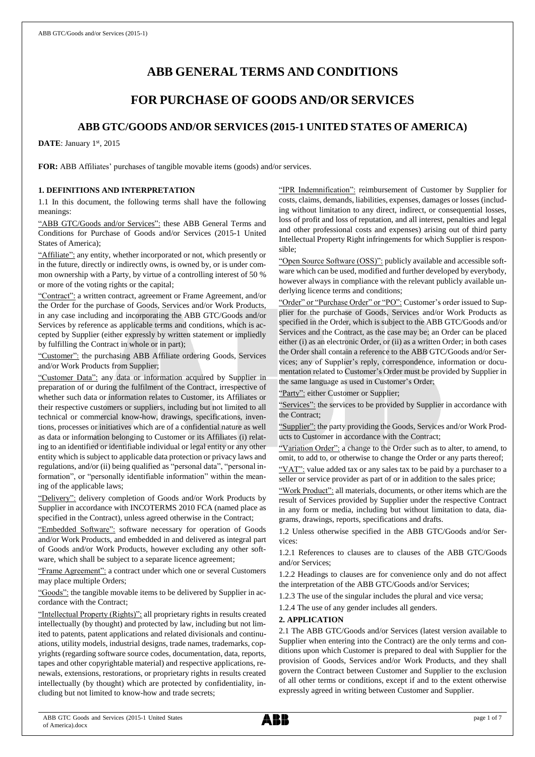# **ABB GENERAL TERMS AND CONDITIONS**

# **FOR PURCHASE OF GOODS AND/OR SERVICES**

# **ABB GTC/GOODS AND/OR SERVICES (2015-1 UNITED STATES OF AMERICA)**

DATE: January 1st, 2015

**FOR:** ABB Affiliates' purchases of tangible movable items (goods) and/or services.

# **1. DEFINITIONS AND INTERPRETATION**

1.1 In this document, the following terms shall have the following meanings:

"ABB GTC/Goods and/or Services": these ABB General Terms and Conditions for Purchase of Goods and/or Services (2015-1 United States of America);

"Affiliate": any entity, whether incorporated or not, which presently or in the future, directly or indirectly owns, is owned by, or is under common ownership with a Party, by virtue of a controlling interest of 50 % or more of the voting rights or the capital;

"Contract": a written contract, agreement or Frame Agreement, and/or the Order for the purchase of Goods, Services and/or Work Products, in any case including and incorporating the ABB GTC/Goods and/or Services by reference as applicable terms and conditions, which is accepted by Supplier (either expressly by written statement or impliedly by fulfilling the Contract in whole or in part);

"Customer": the purchasing ABB Affiliate ordering Goods, Services and/or Work Products from Supplier;

"Customer Data": any data or information acquired by Supplier in preparation of or during the fulfilment of the Contract, irrespective of whether such data or information relates to Customer, its Affiliates or their respective customers or suppliers, including but not limited to all technical or commercial know-how, drawings, specifications, inventions, processes or initiatives which are of a confidential nature as well as data or information belonging to Customer or its Affiliates (i) relating to an identified or identifiable individual or legal entity or any other entity which is subject to applicable data protection or privacy laws and regulations, and/or (ii) being qualified as "personal data", "personal information", or "personally identifiable information" within the meaning of the applicable laws;

"Delivery": delivery completion of Goods and/or Work Products by Supplier in accordance with INCOTERMS 2010 FCA (named place as specified in the Contract), unless agreed otherwise in the Contract;

"Embedded Software": software necessary for operation of Goods and/or Work Products, and embedded in and delivered as integral part of Goods and/or Work Products, however excluding any other software, which shall be subject to a separate licence agreement;

"Frame Agreement": a contract under which one or several Customers may place multiple Orders;

"Goods": the tangible movable items to be delivered by Supplier in accordance with the Contract;

"Intellectual Property (Rights)": all proprietary rights in results created intellectually (by thought) and protected by law, including but not limited to patents, patent applications and related divisionals and continuations, utility models, industrial designs, trade names, trademarks, copyrights (regarding software source codes, documentation, data, reports, tapes and other copyrightable material) and respective applications, renewals, extensions, restorations, or proprietary rights in results created intellectually (by thought) which are protected by confidentiality, including but not limited to know-how and trade secrets;

"IPR Indemnification": reimbursement of Customer by Supplier for costs, claims, demands, liabilities, expenses, damages or losses (including without limitation to any direct, indirect, or consequential losses, loss of profit and loss of reputation, and all interest, penalties and legal and other professional costs and expenses) arising out of third party Intellectual Property Right infringements for which Supplier is responsible;

"Open Source Software (OSS)": publicly available and accessible software which can be used, modified and further developed by everybody, however always in compliance with the relevant publicly available underlying licence terms and conditions;

"Order" or "Purchase Order" or "PO": Customer's order issued to Supplier for the purchase of Goods, Services and/or Work Products as specified in the Order, which is subject to the ABB GTC/Goods and/or Services and the Contract, as the case may be; an Order can be placed either (i) as an electronic Order, or (ii) as a written Order; in both cases the Order shall contain a reference to the ABB GTC/Goods and/or Services; any of Supplier's reply, correspondence, information or documentation related to Customer's Order must be provided by Supplier in the same language as used in Customer's Order;

"Party": either Customer or Supplier;

"Services": the services to be provided by Supplier in accordance with the Contract;

"Supplier": the party providing the Goods, Services and/or Work Products to Customer in accordance with the Contract;

"Variation Order": a change to the Order such as to alter, to amend, to omit, to add to, or otherwise to change the Order or any parts thereof;

"VAT": value added tax or any sales tax to be paid by a purchaser to a seller or service provider as part of or in addition to the sales price;

"Work Product": all materials, documents, or other items which are the result of Services provided by Supplier under the respective Contract in any form or media, including but without limitation to data, diagrams, drawings, reports, specifications and drafts.

1.2 Unless otherwise specified in the ABB GTC/Goods and/or Services:

1.2.1 References to clauses are to clauses of the ABB GTC/Goods and/or Services;

1.2.2 Headings to clauses are for convenience only and do not affect the interpretation of the ABB GTC/Goods and/or Services;

1.2.3 The use of the singular includes the plural and vice versa;

1.2.4 The use of any gender includes all genders.

#### **2. APPLICATION**

2.1 The ABB GTC/Goods and/or Services (latest version available to Supplier when entering into the Contract) are the only terms and conditions upon which Customer is prepared to deal with Supplier for the provision of Goods, Services and/or Work Products, and they shall govern the Contract between Customer and Supplier to the exclusion of all other terms or conditions, except if and to the extent otherwise expressly agreed in writing between Customer and Supplier.

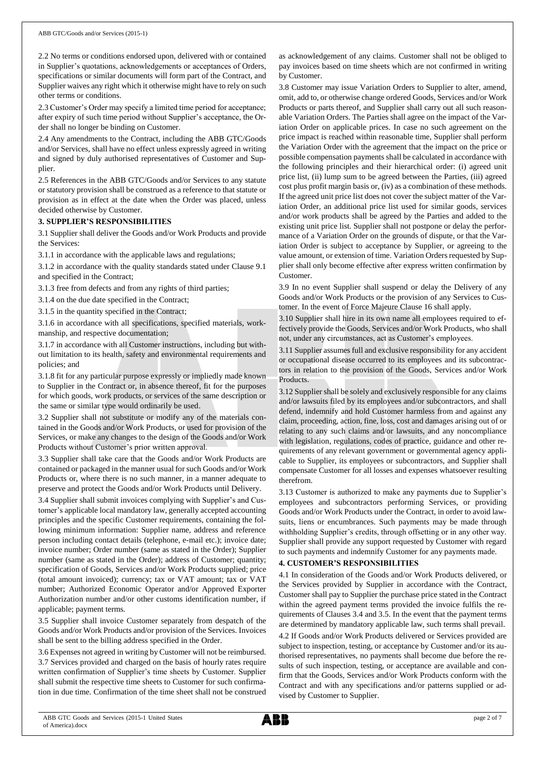2.2 No terms or conditions endorsed upon, delivered with or contained in Supplier's quotations, acknowledgements or acceptances of Orders, specifications or similar documents will form part of the Contract, and Supplier waives any right which it otherwise might have to rely on such other terms or conditions.

2.3 Customer's Order may specify a limited time period for acceptance; after expiry of such time period without Supplier's acceptance, the Order shall no longer be binding on Customer.

2.4 Any amendments to the Contract, including the ABB GTC/Goods and/or Services, shall have no effect unless expressly agreed in writing and signed by duly authorised representatives of Customer and Supplier.

2.5 References in the ABB GTC/Goods and/or Services to any statute or statutory provision shall be construed as a reference to that statute or provision as in effect at the date when the Order was placed, unless decided otherwise by Customer.

# **3. SUPPLIER'S RESPONSIBILITIES**

3.1 Supplier shall deliver the Goods and/or Work Products and provide the Services:

3.1.1 in accordance with the applicable laws and regulations;

3.1.2 in accordance with the quality standards stated under Clause 9.1 and specified in the Contract;

3.1.3 free from defects and from any rights of third parties;

3.1.4 on the due date specified in the Contract;

3.1.5 in the quantity specified in the Contract;

3.1.6 in accordance with all specifications, specified materials, workmanship, and respective documentation;

3.1.7 in accordance with all Customer instructions, including but without limitation to its health, safety and environmental requirements and policies; and

3.1.8 fit for any particular purpose expressly or impliedly made known to Supplier in the Contract or, in absence thereof, fit for the purposes for which goods, work products, or services of the same description or the same or similar type would ordinarily be used.

3.2 Supplier shall not substitute or modify any of the materials contained in the Goods and/or Work Products, or used for provision of the Services, or make any changes to the design of the Goods and/or Work Products without Customer's prior written approval.

3.3 Supplier shall take care that the Goods and/or Work Products are contained or packaged in the manner usual for such Goods and/or Work Products or, where there is no such manner, in a manner adequate to preserve and protect the Goods and/or Work Products until Delivery.

3.4 Supplier shall submit invoices complying with Supplier's and Customer's applicable local mandatory law, generally accepted accounting principles and the specific Customer requirements, containing the following minimum information: Supplier name, address and reference person including contact details (telephone, e-mail etc.); invoice date; invoice number; Order number (same as stated in the Order); Supplier number (same as stated in the Order); address of Customer; quantity; specification of Goods, Services and/or Work Products supplied; price (total amount invoiced); currency; tax or VAT amount; tax or VAT number; Authorized Economic Operator and/or Approved Exporter Authorization number and/or other customs identification number, if applicable; payment terms.

3.5 Supplier shall invoice Customer separately from despatch of the Goods and/or Work Products and/or provision of the Services. Invoices shall be sent to the billing address specified in the Order.

3.6 Expenses not agreed in writing by Customer will not be reimbursed. 3.7 Services provided and charged on the basis of hourly rates require written confirmation of Supplier's time sheets by Customer. Supplier shall submit the respective time sheets to Customer for such confirmation in due time. Confirmation of the time sheet shall not be construed as acknowledgement of any claims. Customer shall not be obliged to pay invoices based on time sheets which are not confirmed in writing by Customer.

3.8 Customer may issue Variation Orders to Supplier to alter, amend, omit, add to, or otherwise change ordered Goods, Services and/or Work Products or parts thereof, and Supplier shall carry out all such reasonable Variation Orders. The Parties shall agree on the impact of the Variation Order on applicable prices. In case no such agreement on the price impact is reached within reasonable time, Supplier shall perform the Variation Order with the agreement that the impact on the price or possible compensation payments shall be calculated in accordance with the following principles and their hierarchical order: (i) agreed unit price list, (ii) lump sum to be agreed between the Parties, (iii) agreed cost plus profit margin basis or, (iv) as a combination of these methods. If the agreed unit price list does not cover the subject matter of the Variation Order, an additional price list used for similar goods, services and/or work products shall be agreed by the Parties and added to the existing unit price list. Supplier shall not postpone or delay the performance of a Variation Order on the grounds of dispute, or that the Variation Order is subject to acceptance by Supplier, or agreeing to the value amount, or extension of time. Variation Orders requested by Supplier shall only become effective after express written confirmation by Customer.

3.9 In no event Supplier shall suspend or delay the Delivery of any Goods and/or Work Products or the provision of any Services to Customer. In the event of Force Majeure Clause 16 shall apply.

3.10 Supplier shall hire in its own name all employees required to effectively provide the Goods, Services and/or Work Products, who shall not, under any circumstances, act as Customer's employees.

3.11 Supplier assumes full and exclusive responsibility for any accident or occupational disease occurred to its employees and its subcontractors in relation to the provision of the Goods, Services and/or Work Products.

3.12 Supplier shall be solely and exclusively responsible for any claims and/or lawsuits filed by its employees and/or subcontractors, and shall defend, indemnify and hold Customer harmless from and against any claim, proceeding, action, fine, loss, cost and damages arising out of or relating to any such claims and/or lawsuits, and any noncompliance with legislation, regulations, codes of practice, guidance and other requirements of any relevant government or governmental agency applicable to Supplier, its employees or subcontractors, and Supplier shall compensate Customer for all losses and expenses whatsoever resulting therefrom.

3.13 Customer is authorized to make any payments due to Supplier's employees and subcontractors performing Services, or providing Goods and/or Work Products under the Contract, in order to avoid lawsuits, liens or encumbrances. Such payments may be made through withholding Supplier's credits, through offsetting or in any other way. Supplier shall provide any support requested by Customer with regard to such payments and indemnify Customer for any payments made.

# **4. CUSTOMER'S RESPONSIBILITIES**

4.1 In consideration of the Goods and/or Work Products delivered, or the Services provided by Supplier in accordance with the Contract, Customer shall pay to Supplier the purchase price stated in the Contract within the agreed payment terms provided the invoice fulfils the requirements of Clauses 3.4 and 3.5. In the event that the payment terms are determined by mandatory applicable law, such terms shall prevail.

4.2 If Goods and/or Work Products delivered or Services provided are subject to inspection, testing, or acceptance by Customer and/or its authorised representatives, no payments shall become due before the results of such inspection, testing, or acceptance are available and confirm that the Goods, Services and/or Work Products conform with the Contract and with any specifications and/or patterns supplied or advised by Customer to Supplier.

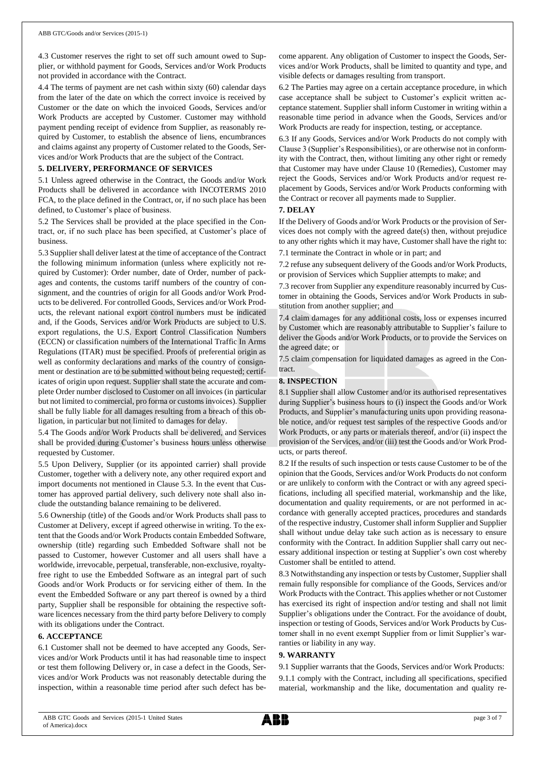4.3 Customer reserves the right to set off such amount owed to Supplier, or withhold payment for Goods, Services and/or Work Products not provided in accordance with the Contract.

4.4 The terms of payment are net cash within sixty (60) calendar days from the later of the date on which the correct invoice is received by Customer or the date on which the invoiced Goods, Services and/or Work Products are accepted by Customer. Customer may withhold payment pending receipt of evidence from Supplier, as reasonably required by Customer, to establish the absence of liens, encumbrances and claims against any property of Customer related to the Goods, Services and/or Work Products that are the subject of the Contract.

#### **5. DELIVERY, PERFORMANCE OF SERVICES**

5.1 Unless agreed otherwise in the Contract, the Goods and/or Work Products shall be delivered in accordance with INCOTERMS 2010 FCA, to the place defined in the Contract, or, if no such place has been defined, to Customer's place of business.

5.2 The Services shall be provided at the place specified in the Contract, or, if no such place has been specified, at Customer's place of business.

5.3 Supplier shall deliver latest at the time of acceptance of the Contract the following minimum information (unless where explicitly not required by Customer): Order number, date of Order, number of packages and contents, the customs tariff numbers of the country of consignment, and the countries of origin for all Goods and/or Work Products to be delivered. For controlled Goods, Services and/or Work Products, the relevant national export control numbers must be indicated and, if the Goods, Services and/or Work Products are subject to U.S. export regulations, the U.S. Export Control Classification Numbers (ECCN) or classification numbers of the International Traffic In Arms Regulations (ITAR) must be specified. Proofs of preferential origin as well as conformity declarations and marks of the country of consignment or destination are to be submitted without being requested; certificates of origin upon request. Supplier shall state the accurate and complete Order number disclosed to Customer on all invoices (in particular but not limited to commercial, pro forma or customs invoices). Supplier shall be fully liable for all damages resulting from a breach of this obligation, in particular but not limited to damages for delay.

5.4 The Goods and/or Work Products shall be delivered, and Services shall be provided during Customer's business hours unless otherwise requested by Customer.

5.5 Upon Delivery, Supplier (or its appointed carrier) shall provide Customer, together with a delivery note, any other required export and import documents not mentioned in Clause 5.3. In the event that Customer has approved partial delivery, such delivery note shall also include the outstanding balance remaining to be delivered.

5.6 Ownership (title) of the Goods and/or Work Products shall pass to Customer at Delivery, except if agreed otherwise in writing. To the extent that the Goods and/or Work Products contain Embedded Software, ownership (title) regarding such Embedded Software shall not be passed to Customer, however Customer and all users shall have a worldwide, irrevocable, perpetual, transferable, non-exclusive, royaltyfree right to use the Embedded Software as an integral part of such Goods and/or Work Products or for servicing either of them. In the event the Embedded Software or any part thereof is owned by a third party, Supplier shall be responsible for obtaining the respective software licences necessary from the third party before Delivery to comply with its obligations under the Contract.

#### **6. ACCEPTANCE**

6.1 Customer shall not be deemed to have accepted any Goods, Services and/or Work Products until it has had reasonable time to inspect or test them following Delivery or, in case a defect in the Goods, Services and/or Work Products was not reasonably detectable during the inspection, within a reasonable time period after such defect has become apparent. Any obligation of Customer to inspect the Goods, Services and/or Work Products, shall be limited to quantity and type, and visible defects or damages resulting from transport.

6.2 The Parties may agree on a certain acceptance procedure, in which case acceptance shall be subject to Customer's explicit written acceptance statement. Supplier shall inform Customer in writing within a reasonable time period in advance when the Goods, Services and/or Work Products are ready for inspection, testing, or acceptance.

6.3 If any Goods, Services and/or Work Products do not comply with Clause 3 (Supplier's Responsibilities), or are otherwise not in conformity with the Contract, then, without limiting any other right or remedy that Customer may have under Clause 10 (Remedies), Customer may reject the Goods, Services and/or Work Products and/or request replacement by Goods, Services and/or Work Products conforming with the Contract or recover all payments made to Supplier.

#### **7. DELAY**

If the Delivery of Goods and/or Work Products or the provision of Services does not comply with the agreed date(s) then, without prejudice to any other rights which it may have, Customer shall have the right to: 7.1 terminate the Contract in whole or in part; and

7.2 refuse any subsequent delivery of the Goods and/or Work Products, or provision of Services which Supplier attempts to make; and

7.3 recover from Supplier any expenditure reasonably incurred by Customer in obtaining the Goods, Services and/or Work Products in substitution from another supplier; and

7.4 claim damages for any additional costs, loss or expenses incurred by Customer which are reasonably attributable to Supplier's failure to deliver the Goods and/or Work Products, or to provide the Services on the agreed date; or

7.5 claim compensation for liquidated damages as agreed in the Contract.

#### **8. INSPECTION**

8.1 Supplier shall allow Customer and/or its authorised representatives during Supplier's business hours to (i) inspect the Goods and/or Work Products, and Supplier's manufacturing units upon providing reasonable notice, and/or request test samples of the respective Goods and/or Work Products, or any parts or materials thereof, and/or (ii) inspect the provision of the Services, and/or (iii) test the Goods and/or Work Products, or parts thereof.

8.2 If the results of such inspection or tests cause Customer to be of the opinion that the Goods, Services and/or Work Products do not conform or are unlikely to conform with the Contract or with any agreed specifications, including all specified material, workmanship and the like, documentation and quality requirements, or are not performed in accordance with generally accepted practices, procedures and standards of the respective industry, Customer shall inform Supplier and Supplier shall without undue delay take such action as is necessary to ensure conformity with the Contract. In addition Supplier shall carry out necessary additional inspection or testing at Supplier's own cost whereby Customer shall be entitled to attend.

8.3 Notwithstanding any inspection or tests by Customer, Supplier shall remain fully responsible for compliance of the Goods, Services and/or Work Products with the Contract. This applies whether or not Customer has exercised its right of inspection and/or testing and shall not limit Supplier's obligations under the Contract. For the avoidance of doubt, inspection or testing of Goods, Services and/or Work Products by Customer shall in no event exempt Supplier from or limit Supplier's warranties or liability in any way.

#### **9. WARRANTY**

9.1 Supplier warrants that the Goods, Services and/or Work Products: 9.1.1 comply with the Contract, including all specifications, specified material, workmanship and the like, documentation and quality re-

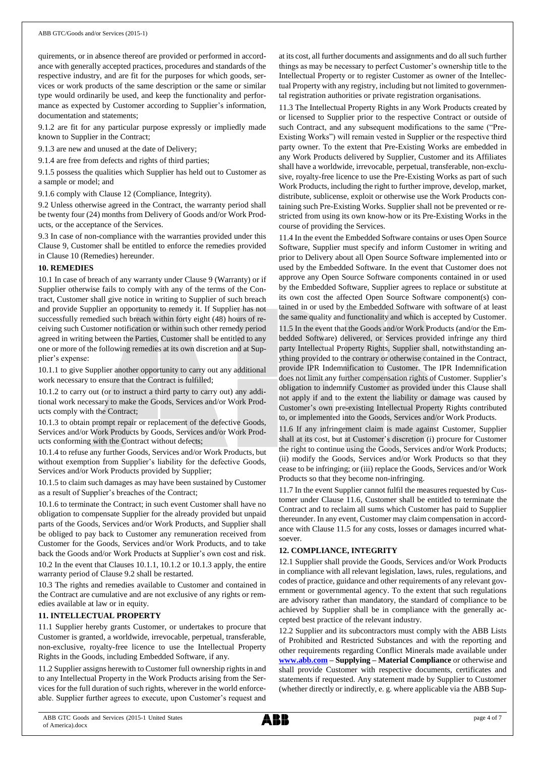quirements, or in absence thereof are provided or performed in accordance with generally accepted practices, procedures and standards of the respective industry, and are fit for the purposes for which goods, services or work products of the same description or the same or similar type would ordinarily be used, and keep the functionality and performance as expected by Customer according to Supplier's information, documentation and statements;

9.1.2 are fit for any particular purpose expressly or impliedly made known to Supplier in the Contract;

9.1.3 are new and unused at the date of Delivery;

9.1.4 are free from defects and rights of third parties;

9.1.5 possess the qualities which Supplier has held out to Customer as a sample or model; and

9.1.6 comply with Clause 12 (Compliance, Integrity).

9.2 Unless otherwise agreed in the Contract, the warranty period shall be twenty four (24) months from Delivery of Goods and/or Work Products, or the acceptance of the Services.

9.3 In case of non-compliance with the warranties provided under this Clause 9, Customer shall be entitled to enforce the remedies provided in Clause 10 (Remedies) hereunder.

#### **10. REMEDIES**

10.1 In case of breach of any warranty under Clause 9 (Warranty) or if Supplier otherwise fails to comply with any of the terms of the Contract, Customer shall give notice in writing to Supplier of such breach and provide Supplier an opportunity to remedy it. If Supplier has not successfully remedied such breach within forty eight (48) hours of receiving such Customer notification or within such other remedy period agreed in writing between the Parties, Customer shall be entitled to any one or more of the following remedies at its own discretion and at Supplier's expense:

10.1.1 to give Supplier another opportunity to carry out any additional work necessary to ensure that the Contract is fulfilled;

10.1.2 to carry out (or to instruct a third party to carry out) any additional work necessary to make the Goods, Services and/or Work Products comply with the Contract;

10.1.3 to obtain prompt repair or replacement of the defective Goods, Services and/or Work Products by Goods, Services and/or Work Products conforming with the Contract without defects;

10.1.4 to refuse any further Goods, Services and/or Work Products, but without exemption from Supplier's liability for the defective Goods, Services and/or Work Products provided by Supplier;

10.1.5 to claim such damages as may have been sustained by Customer as a result of Supplier's breaches of the Contract;

10.1.6 to terminate the Contract; in such event Customer shall have no obligation to compensate Supplier for the already provided but unpaid parts of the Goods, Services and/or Work Products, and Supplier shall be obliged to pay back to Customer any remuneration received from Customer for the Goods, Services and/or Work Products, and to take back the Goods and/or Work Products at Supplier's own cost and risk. 10.2 In the event that Clauses 10.1.1, 10.1.2 or 10.1.3 apply, the entire warranty period of Clause 9.2 shall be restarted.

10.3 The rights and remedies available to Customer and contained in the Contract are cumulative and are not exclusive of any rights or remedies available at law or in equity.

# **11. INTELLECTUAL PROPERTY**

11.1 Supplier hereby grants Customer, or undertakes to procure that Customer is granted, a worldwide, irrevocable, perpetual, transferable, non-exclusive, royalty-free licence to use the Intellectual Property Rights in the Goods, including Embedded Software, if any.

11.2 Supplier assigns herewith to Customer full ownership rights in and to any Intellectual Property in the Work Products arising from the Services for the full duration of such rights, wherever in the world enforceable. Supplier further agrees to execute, upon Customer's request and

at its cost, all further documents and assignments and do all such further things as may be necessary to perfect Customer's ownership title to the Intellectual Property or to register Customer as owner of the Intellectual Property with any registry, including but not limited to governmental registration authorities or private registration organisations.

11.3 The Intellectual Property Rights in any Work Products created by or licensed to Supplier prior to the respective Contract or outside of such Contract, and any subsequent modifications to the same ("Pre-Existing Works") will remain vested in Supplier or the respective third party owner. To the extent that Pre-Existing Works are embedded in any Work Products delivered by Supplier, Customer and its Affiliates shall have a worldwide, irrevocable, perpetual, transferable, non-exclusive, royalty-free licence to use the Pre-Existing Works as part of such Work Products, including the right to further improve, develop, market, distribute, sublicense, exploit or otherwise use the Work Products containing such Pre-Existing Works. Supplier shall not be prevented or restricted from using its own know-how or its Pre-Existing Works in the course of providing the Services.

11.4 In the event the Embedded Software contains or uses Open Source Software, Supplier must specify and inform Customer in writing and prior to Delivery about all Open Source Software implemented into or used by the Embedded Software. In the event that Customer does not approve any Open Source Software components contained in or used by the Embedded Software, Supplier agrees to replace or substitute at its own cost the affected Open Source Software component(s) contained in or used by the Embedded Software with software of at least the same quality and functionality and which is accepted by Customer.

11.5 In the event that the Goods and/or Work Products (and/or the Embedded Software) delivered, or Services provided infringe any third party Intellectual Property Rights, Supplier shall, notwithstanding anything provided to the contrary or otherwise contained in the Contract, provide IPR Indemnification to Customer. The IPR Indemnification does not limit any further compensation rights of Customer. Supplier's obligation to indemnify Customer as provided under this Clause shall not apply if and to the extent the liability or damage was caused by Customer's own pre-existing Intellectual Property Rights contributed to, or implemented into the Goods, Services and/or Work Products.

11.6 If any infringement claim is made against Customer, Supplier shall at its cost, but at Customer's discretion (i) procure for Customer the right to continue using the Goods, Services and/or Work Products; (ii) modify the Goods, Services and/or Work Products so that they cease to be infringing; or (iii) replace the Goods, Services and/or Work Products so that they become non-infringing.

11.7 In the event Supplier cannot fulfil the measures requested by Customer under Clause 11.6, Customer shall be entitled to terminate the Contract and to reclaim all sums which Customer has paid to Supplier thereunder. In any event, Customer may claim compensation in accordance with Clause 11.5 for any costs, losses or damages incurred whatsoever.

#### **12. COMPLIANCE, INTEGRITY**

12.1 Supplier shall provide the Goods, Services and/or Work Products in compliance with all relevant legislation, laws, rules, regulations, and codes of practice, guidance and other requirements of any relevant government or governmental agency. To the extent that such regulations are advisory rather than mandatory, the standard of compliance to be achieved by Supplier shall be in compliance with the generally accepted best practice of the relevant industry.

12.2 Supplier and its subcontractors must comply with the ABB Lists of Prohibited and Restricted Substances and with the reporting and other requirements regarding Conflict Minerals made available under **[www.abb.com](http://www.abb.com/) – Supplying – Material Compliance** or otherwise and shall provide Customer with respective documents, certificates and statements if requested. Any statement made by Supplier to Customer (whether directly or indirectly, e. g. where applicable via the ABB Sup-

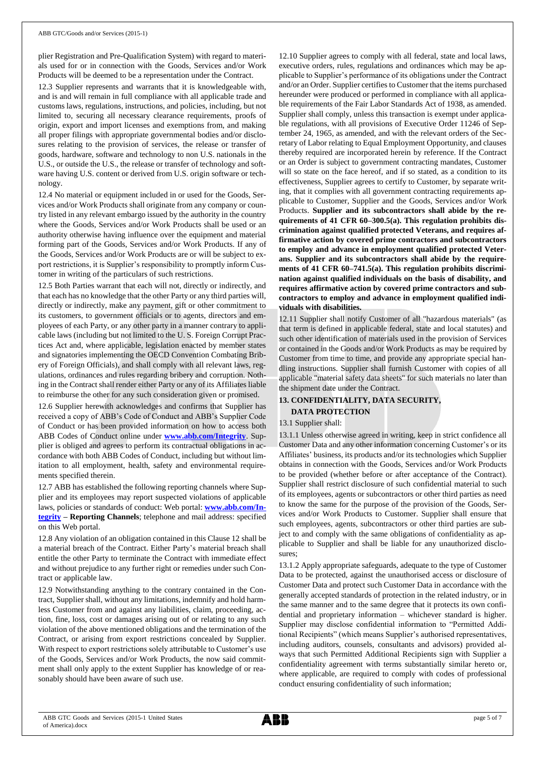plier Registration and Pre-Qualification System) with regard to materials used for or in connection with the Goods, Services and/or Work Products will be deemed to be a representation under the Contract.

12.3 Supplier represents and warrants that it is knowledgeable with, and is and will remain in full compliance with all applicable trade and customs laws, regulations, instructions, and policies, including, but not limited to, securing all necessary clearance requirements, proofs of origin, export and import licenses and exemptions from, and making all proper filings with appropriate governmental bodies and/or disclosures relating to the provision of services, the release or transfer of goods, hardware, software and technology to non U.S. nationals in the U.S., or outside the U.S., the release or transfer of technology and software having U.S. content or derived from U.S. origin software or technology.

12.4 No material or equipment included in or used for the Goods, Services and/or Work Products shall originate from any company or country listed in any relevant embargo issued by the authority in the country where the Goods, Services and/or Work Products shall be used or an authority otherwise having influence over the equipment and material forming part of the Goods, Services and/or Work Products. If any of the Goods, Services and/or Work Products are or will be subject to export restrictions, it is Supplier's responsibility to promptly inform Customer in writing of the particulars of such restrictions.

12.5 Both Parties warrant that each will not, directly or indirectly, and that each has no knowledge that the other Party or any third parties will, directly or indirectly, make any payment, gift or other commitment to its customers, to government officials or to agents, directors and employees of each Party, or any other party in a manner contrary to applicable laws (including but not limited to the U. S. Foreign Corrupt Practices Act and, where applicable, legislation enacted by member states and signatories implementing the OECD Convention Combating Bribery of Foreign Officials), and shall comply with all relevant laws, regulations, ordinances and rules regarding bribery and corruption. Nothing in the Contract shall render either Party or any of its Affiliates liable to reimburse the other for any such consideration given or promised.

12.6 Supplier herewith acknowledges and confirms that Supplier has received a copy of ABB's Code of Conduct and ABB's Supplier Code of Conduct or has been provided information on how to access both ABB Codes of Conduct online under **[www.abb.com/Integrity](http://www.abb.com/Integrity)**. Supplier is obliged and agrees to perform its contractual obligations in accordance with both ABB Codes of Conduct, including but without limitation to all employment, health, safety and environmental requirements specified therein.

12.7 ABB has established the following reporting channels where Supplier and its employees may report suspected violations of applicable laws, policies or standards of conduct: Web portal: **[www.abb.com/In](http://www.abb.com/Integrity)[tegrity](http://www.abb.com/Integrity) – Reporting Channels**; telephone and mail address: specified on this Web portal.

12.8 Any violation of an obligation contained in this Clause 12 shall be a material breach of the Contract. Either Party's material breach shall entitle the other Party to terminate the Contract with immediate effect and without prejudice to any further right or remedies under such Contract or applicable law.

12.9 Notwithstanding anything to the contrary contained in the Contract, Supplier shall, without any limitations, indemnify and hold harmless Customer from and against any liabilities, claim, proceeding, action, fine, loss, cost or damages arising out of or relating to any such violation of the above mentioned obligations and the termination of the Contract, or arising from export restrictions concealed by Supplier. With respect to export restrictions solely attributable to Customer's use of the Goods, Services and/or Work Products, the now said commitment shall only apply to the extent Supplier has knowledge of or reasonably should have been aware of such use.

12.10 Supplier agrees to comply with all federal, state and local laws, executive orders, rules, regulations and ordinances which may be applicable to Supplier's performance of its obligations under the Contract and/or an Order. Supplier certifies to Customer that the items purchased hereunder were produced or performed in compliance with all applicable requirements of the Fair Labor Standards Act of 1938, as amended. Supplier shall comply, unless this transaction is exempt under applicable regulations, with all provisions of Executive Order 11246 of September 24, 1965, as amended, and with the relevant orders of the Secretary of Labor relating to Equal Employment Opportunity, and clauses thereby required are incorporated herein by reference. If the Contract or an Order is subject to government contracting mandates, Customer will so state on the face hereof, and if so stated, as a condition to its effectiveness, Supplier agrees to certify to Customer, by separate writing, that it complies with all government contracting requirements applicable to Customer, Supplier and the Goods, Services and/or Work Products. **Supplier and its subcontractors shall abide by the requirements of 41 CFR 60–300.5(a). This regulation prohibits discrimination against qualified protected Veterans, and requires affirmative action by covered prime contractors and subcontractors to employ and advance in employment qualified protected Veterans. Supplier and its subcontractors shall abide by the requirements of 41 CFR 60–741.5(a). This regulation prohibits discrimination against qualified individuals on the basis of disability, and requires affirmative action by covered prime contractors and subcontractors to employ and advance in employment qualified individuals with disabilities.**

12.11 Supplier shall notify Customer of all "hazardous materials" (as that term is defined in applicable federal, state and local statutes) and such other identification of materials used in the provision of Services or contained in the Goods and/or Work Products as may be required by Customer from time to time, and provide any appropriate special handling instructions. Supplier shall furnish Customer with copies of all applicable "material safety data sheets" for such materials no later than the shipment date under the Contract.

# **13. CONFIDENTIALITY, DATA SECURITY,**

#### **DATA PROTECTION**

#### 13.1 Supplier shall:

13.1.1 Unless otherwise agreed in writing, keep in strict confidence all Customer Data and any other information concerning Customer's or its Affiliates' business, its products and/or its technologies which Supplier obtains in connection with the Goods, Services and/or Work Products to be provided (whether before or after acceptance of the Contract). Supplier shall restrict disclosure of such confidential material to such of its employees, agents or subcontractors or other third parties as need to know the same for the purpose of the provision of the Goods, Services and/or Work Products to Customer. Supplier shall ensure that such employees, agents, subcontractors or other third parties are subject to and comply with the same obligations of confidentiality as applicable to Supplier and shall be liable for any unauthorized disclosures;

13.1.2 Apply appropriate safeguards, adequate to the type of Customer Data to be protected, against the unauthorised access or disclosure of Customer Data and protect such Customer Data in accordance with the generally accepted standards of protection in the related industry, or in the same manner and to the same degree that it protects its own confidential and proprietary information – whichever standard is higher. Supplier may disclose confidential information to "Permitted Additional Recipients" (which means Supplier's authorised representatives, including auditors, counsels, consultants and advisors) provided always that such Permitted Additional Recipients sign with Supplier a confidentiality agreement with terms substantially similar hereto or, where applicable, are required to comply with codes of professional conduct ensuring confidentiality of such information;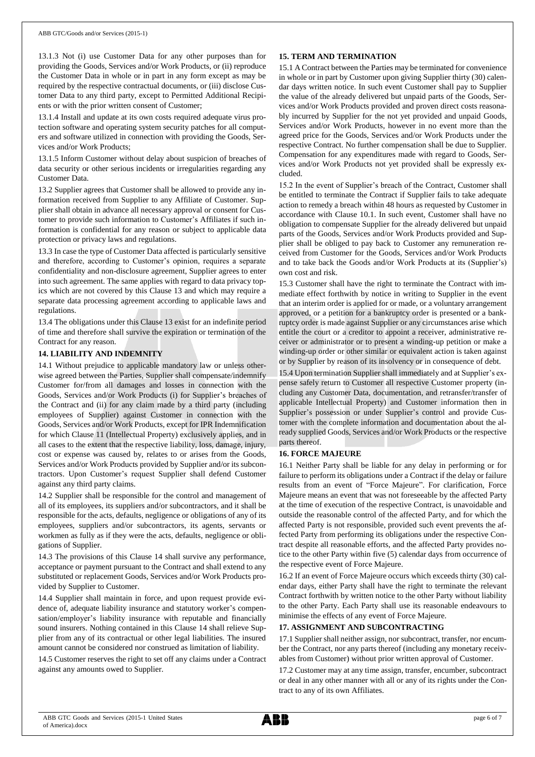13.1.3 Not (i) use Customer Data for any other purposes than for providing the Goods, Services and/or Work Products, or (ii) reproduce the Customer Data in whole or in part in any form except as may be required by the respective contractual documents, or (iii) disclose Customer Data to any third party, except to Permitted Additional Recipients or with the prior written consent of Customer;

13.1.4 Install and update at its own costs required adequate virus protection software and operating system security patches for all computers and software utilized in connection with providing the Goods, Services and/or Work Products;

13.1.5 Inform Customer without delay about suspicion of breaches of data security or other serious incidents or irregularities regarding any Customer Data.

13.2 Supplier agrees that Customer shall be allowed to provide any information received from Supplier to any Affiliate of Customer. Supplier shall obtain in advance all necessary approval or consent for Customer to provide such information to Customer's Affiliates if such information is confidential for any reason or subject to applicable data protection or privacy laws and regulations.

13.3 In case the type of Customer Data affected is particularly sensitive and therefore, according to Customer's opinion, requires a separate confidentiality and non-disclosure agreement, Supplier agrees to enter into such agreement. The same applies with regard to data privacy topics which are not covered by this Clause 13 and which may require a separate data processing agreement according to applicable laws and regulations.

13.4 The obligations under this Clause 13 exist for an indefinite period of time and therefore shall survive the expiration or termination of the Contract for any reason.

# **14. LIABILITY AND INDEMNITY**

14.1 Without prejudice to applicable mandatory law or unless otherwise agreed between the Parties, Supplier shall compensate/indemnify Customer for/from all damages and losses in connection with the Goods, Services and/or Work Products (i) for Supplier's breaches of the Contract and (ii) for any claim made by a third party (including employees of Supplier) against Customer in connection with the Goods, Services and/or Work Products, except for IPR Indemnification for which Clause 11 (Intellectual Property) exclusively applies, and in all cases to the extent that the respective liability, loss, damage, injury, cost or expense was caused by, relates to or arises from the Goods, Services and/or Work Products provided by Supplier and/or its subcontractors. Upon Customer's request Supplier shall defend Customer against any third party claims.

14.2 Supplier shall be responsible for the control and management of all of its employees, its suppliers and/or subcontractors, and it shall be responsible for the acts, defaults, negligence or obligations of any of its employees, suppliers and/or subcontractors, its agents, servants or workmen as fully as if they were the acts, defaults, negligence or obligations of Supplier.

14.3 The provisions of this Clause 14 shall survive any performance, acceptance or payment pursuant to the Contract and shall extend to any substituted or replacement Goods, Services and/or Work Products provided by Supplier to Customer.

14.4 Supplier shall maintain in force, and upon request provide evidence of, adequate liability insurance and statutory worker's compensation/employer's liability insurance with reputable and financially sound insurers. Nothing contained in this Clause 14 shall relieve Supplier from any of its contractual or other legal liabilities. The insured amount cannot be considered nor construed as limitation of liability.

14.5 Customer reserves the right to set off any claims under a Contract against any amounts owed to Supplier.

### **15. TERM AND TERMINATION**

15.1 A Contract between the Parties may be terminated for convenience in whole or in part by Customer upon giving Supplier thirty (30) calendar days written notice. In such event Customer shall pay to Supplier the value of the already delivered but unpaid parts of the Goods, Services and/or Work Products provided and proven direct costs reasonably incurred by Supplier for the not yet provided and unpaid Goods, Services and/or Work Products, however in no event more than the agreed price for the Goods, Services and/or Work Products under the respective Contract. No further compensation shall be due to Supplier. Compensation for any expenditures made with regard to Goods, Services and/or Work Products not yet provided shall be expressly excluded.

15.2 In the event of Supplier's breach of the Contract, Customer shall be entitled to terminate the Contract if Supplier fails to take adequate action to remedy a breach within 48 hours as requested by Customer in accordance with Clause 10.1. In such event, Customer shall have no obligation to compensate Supplier for the already delivered but unpaid parts of the Goods, Services and/or Work Products provided and Supplier shall be obliged to pay back to Customer any remuneration received from Customer for the Goods, Services and/or Work Products and to take back the Goods and/or Work Products at its (Supplier's) own cost and risk.

15.3 Customer shall have the right to terminate the Contract with immediate effect forthwith by notice in writing to Supplier in the event that an interim order is applied for or made, or a voluntary arrangement approved, or a petition for a bankruptcy order is presented or a bankruptcy order is made against Supplier or any circumstances arise which entitle the court or a creditor to appoint a receiver, administrative receiver or administrator or to present a winding-up petition or make a winding-up order or other similar or equivalent action is taken against or by Supplier by reason of its insolvency or in consequence of debt.

15.4 Upon termination Supplier shall immediately and at Supplier's expense safely return to Customer all respective Customer property (including any Customer Data, documentation, and retransfer/transfer of applicable Intellectual Property) and Customer information then in Supplier's possession or under Supplier's control and provide Customer with the complete information and documentation about the already supplied Goods, Services and/or Work Products or the respective parts thereof.

# **16. FORCE MAJEURE**

16.1 Neither Party shall be liable for any delay in performing or for failure to perform its obligations under a Contract if the delay or failure results from an event of "Force Majeure". For clarification, Force Majeure means an event that was not foreseeable by the affected Party at the time of execution of the respective Contract, is unavoidable and outside the reasonable control of the affected Party, and for which the affected Party is not responsible, provided such event prevents the affected Party from performing its obligations under the respective Contract despite all reasonable efforts, and the affected Party provides notice to the other Party within five (5) calendar days from occurrence of the respective event of Force Majeure.

16.2 If an event of Force Majeure occurs which exceeds thirty (30) calendar days, either Party shall have the right to terminate the relevant Contract forthwith by written notice to the other Party without liability to the other Party. Each Party shall use its reasonable endeavours to minimise the effects of any event of Force Majeure.

#### **17. ASSIGNMENT AND SUBCONTRACTING**

17.1 Supplier shall neither assign, nor subcontract, transfer, nor encumber the Contract, nor any parts thereof (including any monetary receivables from Customer) without prior written approval of Customer.

17.2 Customer may at any time assign, transfer, encumber, subcontract or deal in any other manner with all or any of its rights under the Contract to any of its own Affiliates.